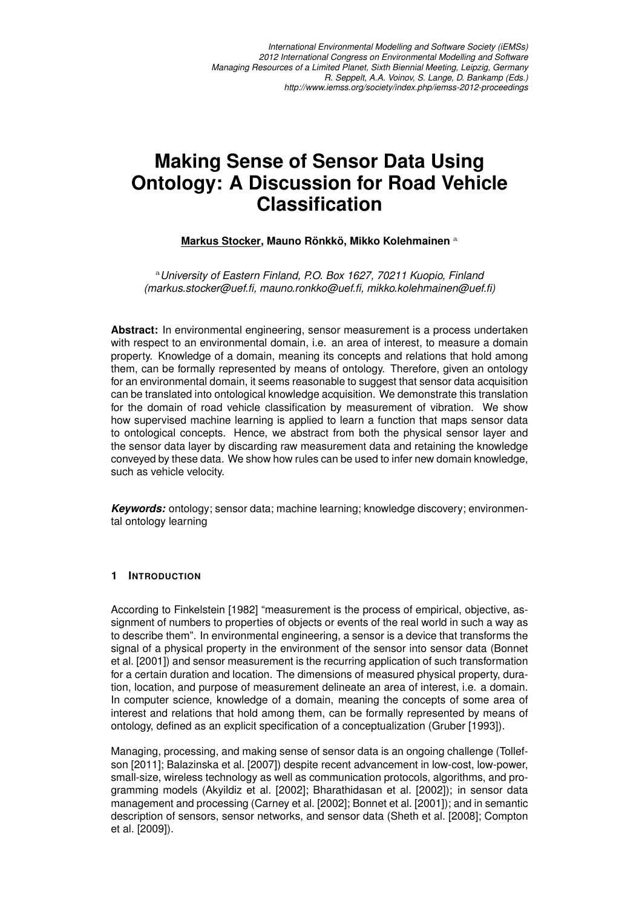*International Environmental Modelling and Software Society (iEMSs) 2012 International Congress on Environmental Modelling and Software Managing Resources of a Limited Planet, Sixth Biennial Meeting, Leipzig, Germany R. Seppelt, A.A. Voinov, S. Lange, D. Bankamp (Eds.) http://www.iemss.org/society/index.php/iemss-2012-proceedings*

# **Making Sense of Sensor Data Using Ontology: A Discussion for Road Vehicle Classification**

## **Markus Stocker, Mauno Ronkk ¨ o, Mikko Kolehmainen ¨** a

<sup>a</sup>*University of Eastern Finland, P.O. Box 1627, 70211 Kuopio, Finland (markus.stocker@uef.fi, mauno.ronkko@uef.fi, mikko.kolehmainen@uef.fi)*

**Abstract:** In environmental engineering, sensor measurement is a process undertaken with respect to an environmental domain, i.e. an area of interest, to measure a domain property. Knowledge of a domain, meaning its concepts and relations that hold among them, can be formally represented by means of ontology. Therefore, given an ontology for an environmental domain, it seems reasonable to suggest that sensor data acquisition can be translated into ontological knowledge acquisition. We demonstrate this translation for the domain of road vehicle classification by measurement of vibration. We show how supervised machine learning is applied to learn a function that maps sensor data to ontological concepts. Hence, we abstract from both the physical sensor layer and the sensor data layer by discarding raw measurement data and retaining the knowledge conveyed by these data. We show how rules can be used to infer new domain knowledge, such as vehicle velocity.

*Keywords:* ontology; sensor data; machine learning; knowledge discovery; environmental ontology learning

#### **1 INTRODUCTION**

According to Finkelstein [1982] "measurement is the process of empirical, objective, assignment of numbers to properties of objects or events of the real world in such a way as to describe them". In environmental engineering, a sensor is a device that transforms the signal of a physical property in the environment of the sensor into sensor data (Bonnet et al. [2001]) and sensor measurement is the recurring application of such transformation for a certain duration and location. The dimensions of measured physical property, duration, location, and purpose of measurement delineate an area of interest, i.e. a domain. In computer science, knowledge of a domain, meaning the concepts of some area of interest and relations that hold among them, can be formally represented by means of ontology, defined as an explicit specification of a conceptualization (Gruber [1993]).

Managing, processing, and making sense of sensor data is an ongoing challenge (Tollefson [2011]; Balazinska et al. [2007]) despite recent advancement in low-cost, low-power, small-size, wireless technology as well as communication protocols, algorithms, and programming models (Akyildiz et al. [2002]; Bharathidasan et al. [2002]); in sensor data management and processing (Carney et al. [2002]; Bonnet et al. [2001]); and in semantic description of sensors, sensor networks, and sensor data (Sheth et al. [2008]; Compton et al. [2009]).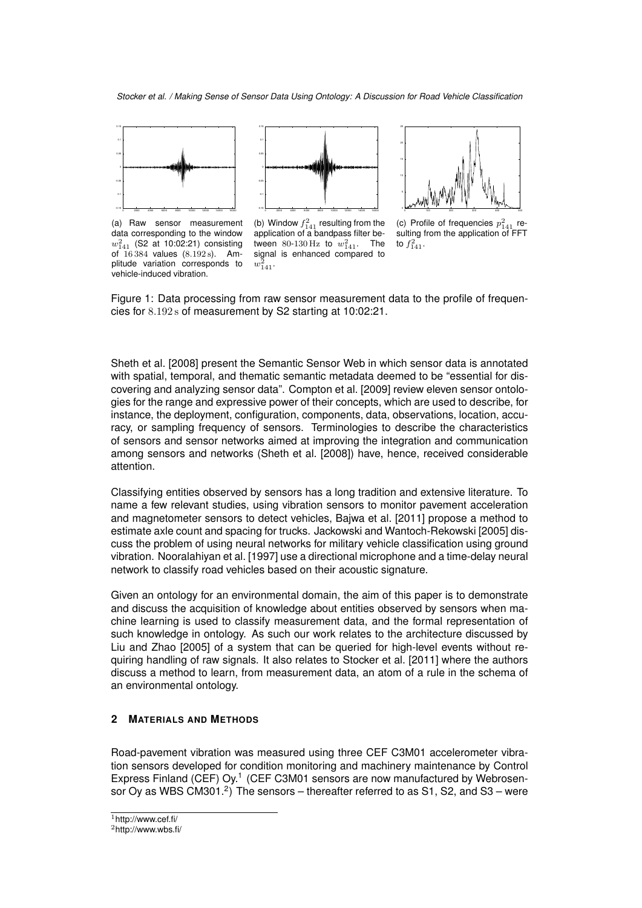

(a) Raw sensor measurement data corresponding to the window  $w_{141}^2$  (S2 at 10:02:21) consisting of 16 384 values (8.192 s). Amplitude variation corresponds to vehicle-induced vibration.



(b) Window  $f_{141}^2$  resulting from the application of a bandpass filter between 80-130 Hz to  $w_{141}^2$ . The signal is enhanced compared to  $w_{141}^2$ .



(c) Profile of frequencies  $p_{141}^2$  resulting from the application of FFT to  $f_{141}^2$ .

Figure 1: Data processing from raw sensor measurement data to the profile of frequencies for 8.192 s of measurement by S2 starting at 10:02:21.

Sheth et al. [2008] present the Semantic Sensor Web in which sensor data is annotated with spatial, temporal, and thematic semantic metadata deemed to be "essential for discovering and analyzing sensor data". Compton et al. [2009] review eleven sensor ontologies for the range and expressive power of their concepts, which are used to describe, for instance, the deployment, configuration, components, data, observations, location, accuracy, or sampling frequency of sensors. Terminologies to describe the characteristics of sensors and sensor networks aimed at improving the integration and communication among sensors and networks (Sheth et al. [2008]) have, hence, received considerable attention.

Classifying entities observed by sensors has a long tradition and extensive literature. To name a few relevant studies, using vibration sensors to monitor pavement acceleration and magnetometer sensors to detect vehicles, Bajwa et al. [2011] propose a method to estimate axle count and spacing for trucks. Jackowski and Wantoch-Rekowski [2005] discuss the problem of using neural networks for military vehicle classification using ground vibration. Nooralahiyan et al. [1997] use a directional microphone and a time-delay neural network to classify road vehicles based on their acoustic signature.

Given an ontology for an environmental domain, the aim of this paper is to demonstrate and discuss the acquisition of knowledge about entities observed by sensors when machine learning is used to classify measurement data, and the formal representation of such knowledge in ontology. As such our work relates to the architecture discussed by Liu and Zhao [2005] of a system that can be queried for high-level events without requiring handling of raw signals. It also relates to Stocker et al. [2011] where the authors discuss a method to learn, from measurement data, an atom of a rule in the schema of an environmental ontology.

#### **2 MATERIALS AND METHODS**

Road-pavement vibration was measured using three CEF C3M01 accelerometer vibration sensors developed for condition monitoring and machinery maintenance by Control Express Finland (CEF) Oy.<sup>1</sup> (CEF C3M01 sensors are now manufactured by Webrosensor Oy as WBS CM301.<sup>2</sup>) The sensors – thereafter referred to as S1, S2, and S3 – were

<sup>1</sup>http://www.cef.fi/

<sup>2</sup>http://www.wbs.fi/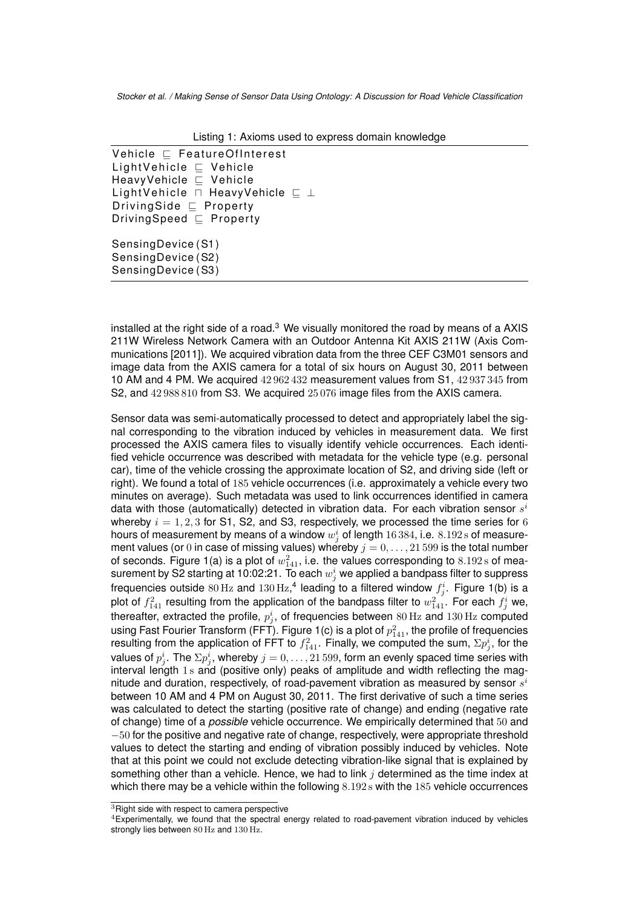| Listing T. Axionis used to express domain Milowiedge  |
|-------------------------------------------------------|
| Vehicle $\sqsubset$ FeatureOfInterest                 |
| LightVehicle $\sqsubset$ Vehicle                      |
| HeavyVehicle ⊑ Vehicle                                |
| LightVehicle $\sqcap$ HeavyVehicle $\sqsubseteq \bot$ |
| DrivingSide $\sqsubseteq$ Property                    |
| DrivingSpeed $\sqsubseteq$ Property                   |
| SensingDevice (S1)                                    |
| SensingDevice (S2)                                    |
| SensingDevice (S3)                                    |
|                                                       |

Listing 1: Axioms used to express domain knowledge

installed at the right side of a road. $3$  We visually monitored the road by means of a AXIS 211W Wireless Network Camera with an Outdoor Antenna Kit AXIS 211W (Axis Communications [2011]). We acquired vibration data from the three CEF C3M01 sensors and image data from the AXIS camera for a total of six hours on August 30, 2011 between 10 AM and 4 PM. We acquired 42 962 432 measurement values from S1, 42 937 345 from S2, and 42 988 810 from S3. We acquired 25 076 image files from the AXIS camera.

Sensor data was semi-automatically processed to detect and appropriately label the signal corresponding to the vibration induced by vehicles in measurement data. We first processed the AXIS camera files to visually identify vehicle occurrences. Each identified vehicle occurrence was described with metadata for the vehicle type (e.g. personal car), time of the vehicle crossing the approximate location of S2, and driving side (left or right). We found a total of 185 vehicle occurrences (i.e. approximately a vehicle every two minutes on average). Such metadata was used to link occurrences identified in camera data with those (automatically) detected in vibration data. For each vibration sensor  $s^i$ whereby  $i = 1, 2, 3$  for S1, S2, and S3, respectively, we processed the time series for 6 hours of measurement by means of a window  $w^i_j$  of length  $16\,384,$  i.e.  $8.192\,\mathrm{s}$  of measurement values (or 0 in case of missing values) whereby  $j = 0, \ldots, 21\,599$  is the total number of seconds. Figure 1(a) is a plot of  $w_{141}^2$ , i.e. the values corresponding to  $8.192\,\mathrm{s}$  of measurement by S2 starting at 10:02:21. To each  $w^i_j$  we applied a bandpass filter to suppress frequencies outside  $80\,\text{Hz}$  and  $130\,\text{Hz},^4$  leading to a filtered window  $f^i_j$ . Figure 1(b) is a plot of  $f_{141}^2$  resulting from the application of the bandpass filter to  $w_{141}^2$ . For each  $f_j^i$  we, thereafter, extracted the profile,  $p_j^i$ , of frequencies between  $80\,\mathrm{Hz}$  and  $130\,\mathrm{Hz}$  computed using Fast Fourier Transform (FFT). Figure 1(c) is a plot of  $p_{141}^2$ , the profile of frequencies resulting from the application of FFT to  $f_{141}^2$ . Finally, we computed the sum,  $\Sigma p_j^i$ , for the values of  $p^i_j.$  The  $\Sigma p^i_j,$  whereby  $j=0,\ldots,21\,599,$  form an evenly spaced time series with interval length 1 s and (positive only) peaks of amplitude and width reflecting the magnitude and duration, respectively, of road-pavement vibration as measured by sensor  $s^i$ between 10 AM and 4 PM on August 30, 2011. The first derivative of such a time series was calculated to detect the starting (positive rate of change) and ending (negative rate of change) time of a *possible* vehicle occurrence. We empirically determined that 50 and  $-50$  for the positive and negative rate of change, respectively, were appropriate threshold values to detect the starting and ending of vibration possibly induced by vehicles. Note that at this point we could not exclude detecting vibration-like signal that is explained by something other than a vehicle. Hence, we had to link  $i$  determined as the time index at which there may be a vehicle within the following  $8.192 s$  with the 185 vehicle occurrences

<sup>&</sup>lt;sup>3</sup>Right side with respect to camera perspective

<sup>4</sup>Experimentally, we found that the spectral energy related to road-pavement vibration induced by vehicles strongly lies between 80 Hz and 130 Hz.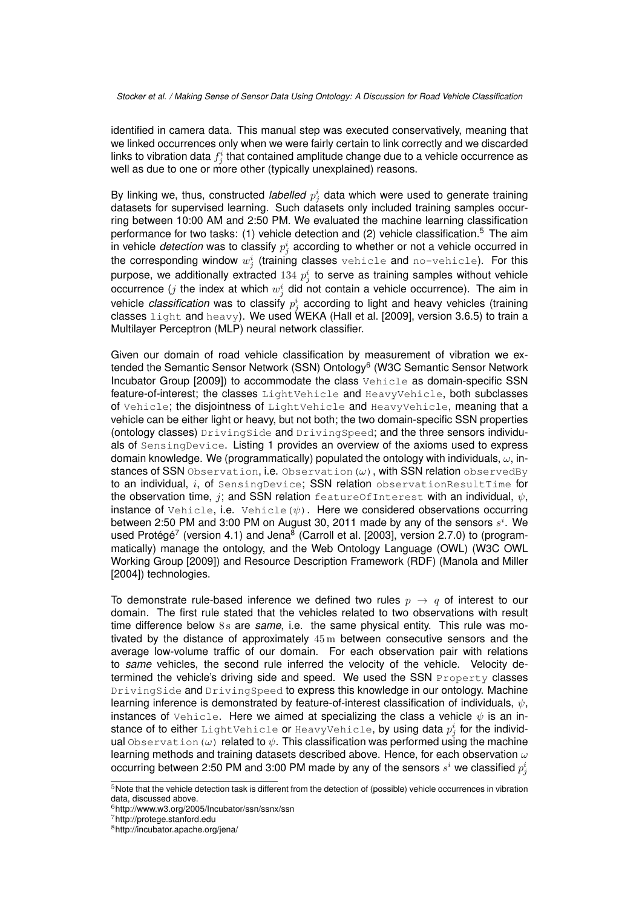identified in camera data. This manual step was executed conservatively, meaning that we linked occurrences only when we were fairly certain to link correctly and we discarded links to vibration data  $f^i_j$  that contained amplitude change due to a vehicle occurrence as well as due to one or more other (typically unexplained) reasons.

By linking we, thus, constructed *labelled*  $p_j^i$  data which were used to generate training datasets for supervised learning. Such datasets only included training samples occurring between 10:00 AM and 2:50 PM. We evaluated the machine learning classification performance for two tasks:  $(1)$  vehicle detection and  $(2)$  vehicle classification.<sup>5</sup> The aim in vehicle *detection* was to classify  $p_j^i$  according to whether or not a vehicle occurred in the corresponding window  $w^i_j$  (training classes  $\texttt{while}$  and  $\texttt{no-vehicle}$ ). For this purpose, we additionally extracted  $134\ p_j^i$  to serve as training samples without vehicle occurrence (j the index at which  $w_j^i$  did not contain a vehicle occurrence). The aim in vehicle *classification* was to classify  $p_j^i$  according to light and heavy vehicles (training classes  $light$  and  $heavy$ ). We used WEKA (Hall et al. [2009], version 3.6.5) to train a Multilayer Perceptron (MLP) neural network classifier.

Given our domain of road vehicle classification by measurement of vibration we extended the Semantic Sensor Network (SSN) Ontology<sup>6</sup> (W3C Semantic Sensor Network Incubator Group [2009]) to accommodate the class Vehicle as domain-specific SSN feature-of-interest; the classes LightVehicle and HeavyVehicle, both subclasses of Vehicle; the disjointness of LightVehicle and HeavyVehicle, meaning that a vehicle can be either light or heavy, but not both; the two domain-specific SSN properties (ontology classes) DrivingSide and DrivingSpeed; and the three sensors individuals of SensingDevice. Listing 1 provides an overview of the axioms used to express domain knowledge. We (programmatically) populated the ontology with individuals,  $\omega$ , instances of SSN Observation, i.e. Observation  $(\omega)$ , with SSN relation observedBy to an individual, i, of SensingDevice; SSN relation observationResultTime for the observation time, j; and SSN relation featureOfInterest with an individual,  $\psi$ , instance of Vehicle, i.e. Vehicle( $\psi$ ). Here we considered observations occurring between 2:50 PM and 3:00 PM on August 30, 2011 made by any of the sensors  $s^i$ . We used Protégé<sup>7</sup> (version 4.1) and Jena<sup>8</sup> (Carroll et al. [2003], version 2.7.0) to (programmatically) manage the ontology, and the Web Ontology Language (OWL) (W3C OWL Working Group [2009]) and Resource Description Framework (RDF) (Manola and Miller [2004]) technologies.

To demonstrate rule-based inference we defined two rules  $p \rightarrow q$  of interest to our domain. The first rule stated that the vehicles related to two observations with result time difference below 8s are *same*, i.e. the same physical entity. This rule was motivated by the distance of approximately  $45 \text{ m}$  between consecutive sensors and the average low-volume traffic of our domain. For each observation pair with relations to *same* vehicles, the second rule inferred the velocity of the vehicle. Velocity determined the vehicle's driving side and speed. We used the SSN Property classes DrivingSide and DrivingSpeed to express this knowledge in our ontology. Machine learning inference is demonstrated by feature-of-interest classification of individuals,  $\psi$ , instances of Vehicle. Here we aimed at specializing the class a vehicle  $\psi$  is an instance of to either <code>LightVehicle</code> or <code>HeavyVehicle,</code> by using data  $p_j^i$  for the individual Observation ( $\omega$ ) related to  $\psi$ . This classification was performed using the machine learning methods and training datasets described above. Hence, for each observation  $\omega$ occurring between 2:50 PM and 3:00 PM made by any of the sensors  $s^i$  we classified  $p^i_j$ 

<sup>7</sup>http://protege.stanford.edu

 $\overline{5}$ Note that the vehicle detection task is different from the detection of (possible) vehicle occurrences in vibration data, discussed above.

<sup>6</sup>http://www.w3.org/2005/Incubator/ssn/ssnx/ssn

<sup>8</sup>http://incubator.apache.org/jena/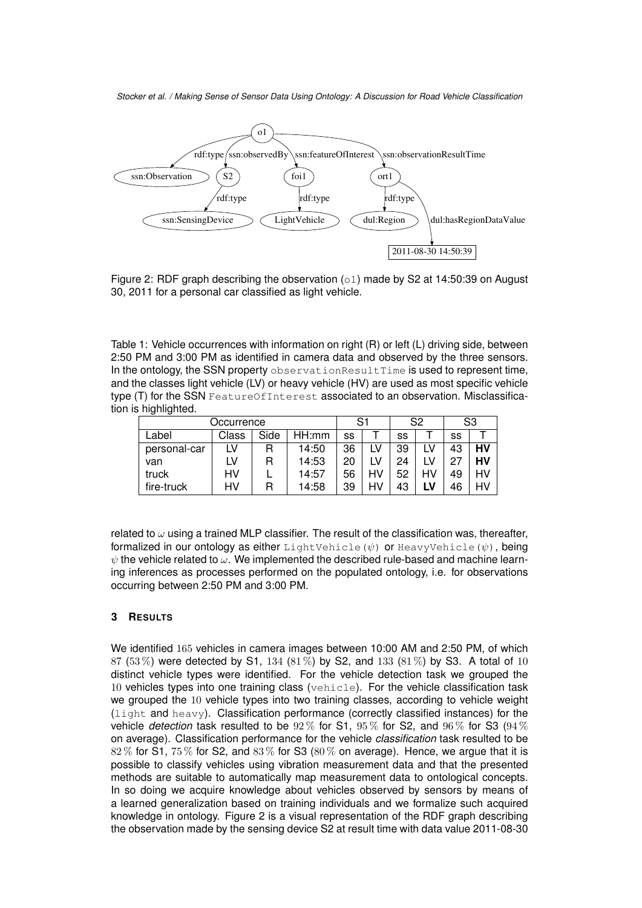

Figure 2: RDF graph describing the observation  $(\circ 1)$  made by S2 at 14:50:39 on August 30, 2011 for a personal car classified as light vehicle.

Table 1: Vehicle occurrences with information on right (R) or left (L) driving side, between 2:50 PM and 3:00 PM as identified in camera data and observed by the three sensors. In the ontology, the SSN property observationResultTime is used to represent time, and the classes light vehicle (LV) or heavy vehicle (HV) are used as most specific vehicle type (T) for the SSN FeatureOfInterest associated to an observation. Misclassification is highlighted.

| Occurrence   |       |      |       | S1 |    | S <sub>2</sub> |    | S <sub>3</sub> |    |
|--------------|-------|------|-------|----|----|----------------|----|----------------|----|
| Label        | Class | Side | HH:mm | SS |    | SS             |    | SS             |    |
| personal-car | LV    |      | 14:50 | 36 | ιV | 39             |    | 43             | HV |
| van          | LV    |      | 14:53 | 20 |    | 24             |    | -27            | HV |
| truck        | HV    |      | 14:57 | 56 | HV | 52             | HV | 49             | HV |
| fire-truck   | HV    |      | 14:58 | 39 | HV | 43             | LV | 46             | HV |

related to  $\omega$  using a trained MLP classifier. The result of the classification was, thereafter, formalized in our ontology as either LightVehicle( $\psi$ ) or HeavyVehicle( $\psi$ ), being  $\psi$  the vehicle related to  $\omega$ . We implemented the described rule-based and machine learning inferences as processes performed on the populated ontology, i.e. for observations occurring between 2:50 PM and 3:00 PM.

## **3 RESULTS**

We identified 165 vehicles in camera images between 10:00 AM and 2:50 PM, of which 87 (53%) were detected by S1, 134 (81%) by S2, and 133 (81%) by S3. A total of 10 distinct vehicle types were identified. For the vehicle detection task we grouped the 10 vehicles types into one training class (vehicle). For the vehicle classification task we grouped the 10 vehicle types into two training classes, according to vehicle weight (light and heavy). Classification performance (correctly classified instances) for the vehicle *detection* task resulted to be  $92\%$  for S1,  $95\%$  for S2, and  $96\%$  for S3  $(94\%$ on average). Classification performance for the vehicle *classification* task resulted to be  $82\%$  for S1,  $75\%$  for S2, and  $83\%$  for S3 ( $80\%$  on average). Hence, we argue that it is possible to classify vehicles using vibration measurement data and that the presented methods are suitable to automatically map measurement data to ontological concepts. In so doing we acquire knowledge about vehicles observed by sensors by means of a learned generalization based on training individuals and we formalize such acquired knowledge in ontology. Figure 2 is a visual representation of the RDF graph describing the observation made by the sensing device S2 at result time with data value 2011-08-30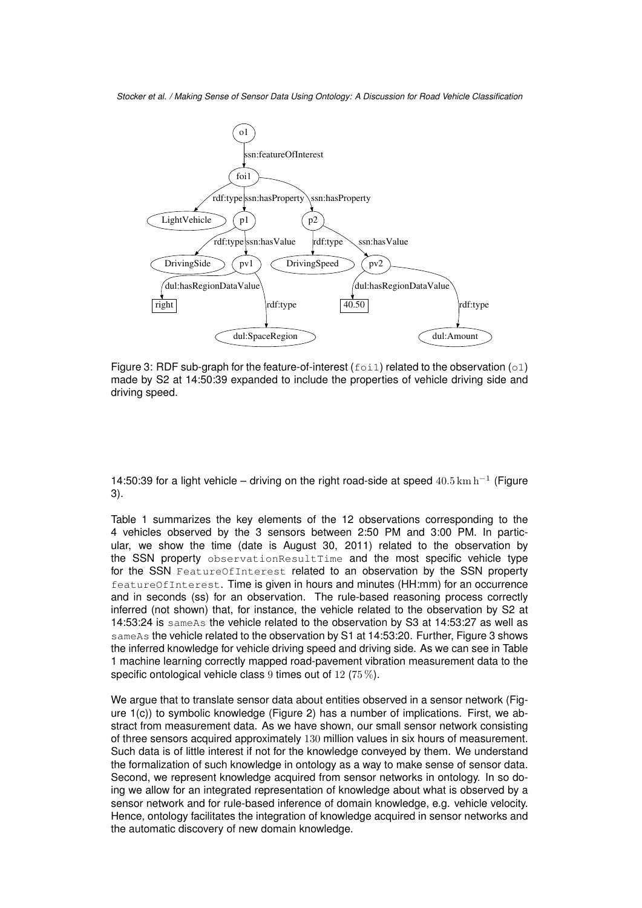

Figure 3: RDF sub-graph for the feature-of-interest ( $f$ oi1) related to the observation (o1) made by S2 at 14:50:39 expanded to include the properties of vehicle driving side and driving speed.

14:50:39 for a light vehicle – driving on the right road-side at speed  $40.5\,\mathrm{km}\,\mathrm{h}^{-1}$  (Figure 3).

Table 1 summarizes the key elements of the 12 observations corresponding to the 4 vehicles observed by the 3 sensors between 2:50 PM and 3:00 PM. In particular, we show the time (date is August 30, 2011) related to the observation by the SSN property observationResultTime and the most specific vehicle type for the SSN FeatureOfInterest related to an observation by the SSN property featureOfInterest. Time is given in hours and minutes (HH:mm) for an occurrence and in seconds (ss) for an observation. The rule-based reasoning process correctly inferred (not shown) that, for instance, the vehicle related to the observation by S2 at 14:53:24 is sameAs the vehicle related to the observation by S3 at 14:53:27 as well as sameAs the vehicle related to the observation by S1 at 14:53:20. Further, Figure 3 shows the inferred knowledge for vehicle driving speed and driving side. As we can see in Table 1 machine learning correctly mapped road-pavement vibration measurement data to the specific ontological vehicle class 9 times out of 12 (75 %).

We argue that to translate sensor data about entities observed in a sensor network (Figure 1(c)) to symbolic knowledge (Figure 2) has a number of implications. First, we abstract from measurement data. As we have shown, our small sensor network consisting of three sensors acquired approximately 130 million values in six hours of measurement. Such data is of little interest if not for the knowledge conveyed by them. We understand the formalization of such knowledge in ontology as a way to make sense of sensor data. Second, we represent knowledge acquired from sensor networks in ontology. In so doing we allow for an integrated representation of knowledge about what is observed by a sensor network and for rule-based inference of domain knowledge, e.g. vehicle velocity. Hence, ontology facilitates the integration of knowledge acquired in sensor networks and the automatic discovery of new domain knowledge.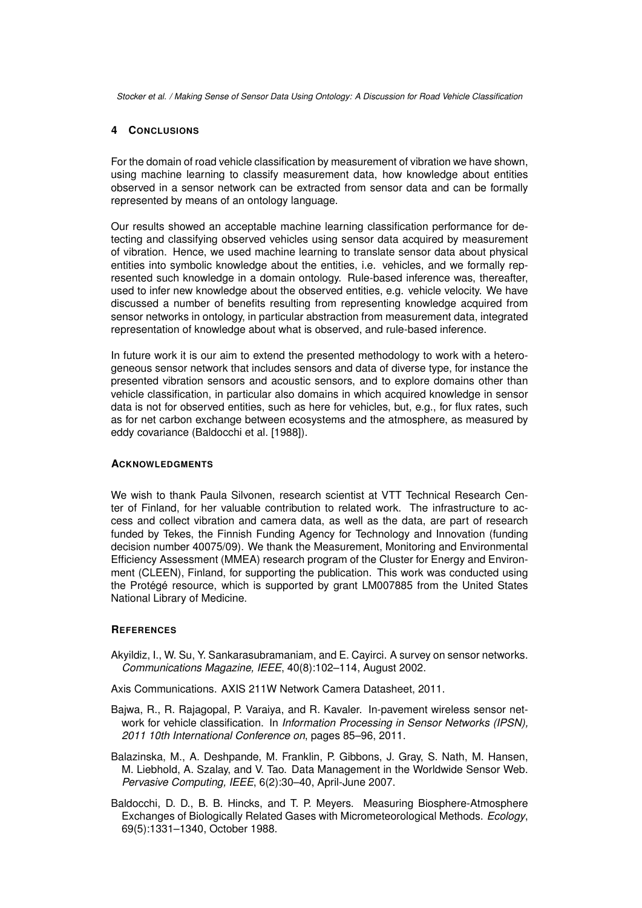## **4 CONCLUSIONS**

For the domain of road vehicle classification by measurement of vibration we have shown, using machine learning to classify measurement data, how knowledge about entities observed in a sensor network can be extracted from sensor data and can be formally represented by means of an ontology language.

Our results showed an acceptable machine learning classification performance for detecting and classifying observed vehicles using sensor data acquired by measurement of vibration. Hence, we used machine learning to translate sensor data about physical entities into symbolic knowledge about the entities, i.e. vehicles, and we formally represented such knowledge in a domain ontology. Rule-based inference was, thereafter, used to infer new knowledge about the observed entities, e.g. vehicle velocity. We have discussed a number of benefits resulting from representing knowledge acquired from sensor networks in ontology, in particular abstraction from measurement data, integrated representation of knowledge about what is observed, and rule-based inference.

In future work it is our aim to extend the presented methodology to work with a heterogeneous sensor network that includes sensors and data of diverse type, for instance the presented vibration sensors and acoustic sensors, and to explore domains other than vehicle classification, in particular also domains in which acquired knowledge in sensor data is not for observed entities, such as here for vehicles, but, e.g., for flux rates, such as for net carbon exchange between ecosystems and the atmosphere, as measured by eddy covariance (Baldocchi et al. [1988]).

#### **ACKNOWLEDGMENTS**

We wish to thank Paula Silvonen, research scientist at VTT Technical Research Center of Finland, for her valuable contribution to related work. The infrastructure to access and collect vibration and camera data, as well as the data, are part of research funded by Tekes, the Finnish Funding Agency for Technology and Innovation (funding decision number 40075/09). We thank the Measurement, Monitoring and Environmental Efficiency Assessment (MMEA) research program of the Cluster for Energy and Environment (CLEEN), Finland, for supporting the publication. This work was conducted using the Protégé resource, which is supported by grant LM007885 from the United States National Library of Medicine.

## **REFERENCES**

Akyildiz, I., W. Su, Y. Sankarasubramaniam, and E. Cayirci. A survey on sensor networks. *Communications Magazine, IEEE*, 40(8):102–114, August 2002.

Axis Communications. AXIS 211W Network Camera Datasheet, 2011.

- Bajwa, R., R. Rajagopal, P. Varaiya, and R. Kavaler. In-pavement wireless sensor network for vehicle classification. In *Information Processing in Sensor Networks (IPSN), 2011 10th International Conference on*, pages 85–96, 2011.
- Balazinska, M., A. Deshpande, M. Franklin, P. Gibbons, J. Gray, S. Nath, M. Hansen, M. Liebhold, A. Szalay, and V. Tao. Data Management in the Worldwide Sensor Web. *Pervasive Computing, IEEE*, 6(2):30–40, April-June 2007.
- Baldocchi, D. D., B. B. Hincks, and T. P. Meyers. Measuring Biosphere-Atmosphere Exchanges of Biologically Related Gases with Micrometeorological Methods. *Ecology*, 69(5):1331–1340, October 1988.